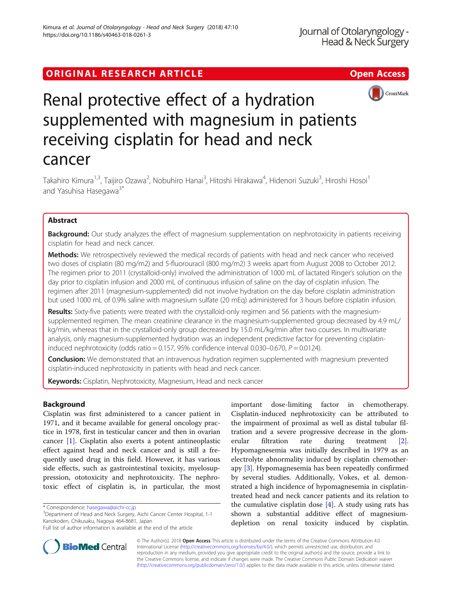# ORIGINAL RESEARCH ARTICLE **Solution Contract Contract Contract Contract Contract Contract Contract Contract Contract Contract Contract Contract Contract Contract Contract Contract Contract Contract Contract Contract Contra**





# Renal protective effect of a hydration supplemented with magnesium in patients receiving cisplatin for head and neck cancer

Takahiro Kimura<sup>1,3</sup>, Taijiro Ozawa<sup>2</sup>, Nobuhiro Hanai<sup>3</sup>, Hitoshi Hirakawa<sup>4</sup>, Hidenori Suzuki<sup>3</sup>, Hiroshi Hosoi<sup>1</sup> and Yasuhisa Hasegawa<sup>3\*</sup>

# Abstract

**Background:** Our study analyzes the effect of magnesium supplementation on nephrotoxicity in patients receiving cisplatin for head and neck cancer.

Methods: We retrospectively reviewed the medical records of patients with head and neck cancer who received two doses of cisplatin (80 mg/m2) and 5-fluorouracil (800 mg/m2) 3 weeks apart from August 2008 to October 2012. The regimen prior to 2011 (crystalloid-only) involved the administration of 1000 mL of lactated Ringer's solution on the day prior to cisplatin infusion and 2000 mL of continuous infusion of saline on the day of cisplatin infusion. The regimen after 2011 (magnesium-supplemented) did not involve hydration on the day before cisplatin administration but used 1000 mL of 0.9% saline with magnesium sulfate (20 mEq) administered for 3 hours before cisplatin infusion.

Results: Sixty-five patients were treated with the crystalloid-only regimen and 56 patients with the magnesiumsupplemented regimen. The mean creatinine clearance in the magnesium-supplemented group decreased by 4.9 mL/ kg/min, whereas that in the crystalloid-only group decreased by 15.0 mL/kg/min after two courses. In multivariate analysis, only magnesium-supplemented hydration was an independent predictive factor for preventing cisplatininduced nephrotoxicity (odds ratio =  $0.157$ , 95% confidence interval 0.030-0.670,  $P = 0.0124$ ).

**Conclusion:** We demonstrated that an intravenous hydration regimen supplemented with magnesium prevented cisplatin-induced nephrotoxicity in patients with head and neck cancer.

Keywords: Cisplatin, Nephrotoxicity, Magnesium, Head and neck cancer

# Background

Cisplatin was first administered to a cancer patient in 1971, and it became available for general oncology practice in 1978, first in testicular cancer and then in ovarian cancer [[1\]](#page-6-0). Cisplatin also exerts a potent antineoplastic effect against head and neck cancer and is still a frequently used drug in this field. However, it has various side effects, such as gastrointestinal toxicity, myelosuppression, ototoxicity and nephrotoxicity. The nephrotoxic effect of cisplatin is, in particular, the most

\* Correspondence: [hasegawa@aichi-cc.jp](mailto:hasegawa@aichi-cc.jp) <sup>3</sup>

<sup>3</sup>Department of Head and Neck Surgery, Aichi Cancer Center Hospital, 1-1 Kanokoden, Chikusaku, Nagoya 464-8681, Japan

Full list of author information is available at the end of the article





© The Author(s). 2018 Open Access This article is distributed under the terms of the Creative Commons Attribution 4.0 International License [\(http://creativecommons.org/licenses/by/4.0/](http://creativecommons.org/licenses/by/4.0/)), which permits unrestricted use, distribution, and reproduction in any medium, provided you give appropriate credit to the original author(s) and the source, provide a link to the Creative Commons license, and indicate if changes were made. The Creative Commons Public Domain Dedication waiver [\(http://creativecommons.org/publicdomain/zero/1.0/](http://creativecommons.org/publicdomain/zero/1.0/)) applies to the data made available in this article, unless otherwise stated.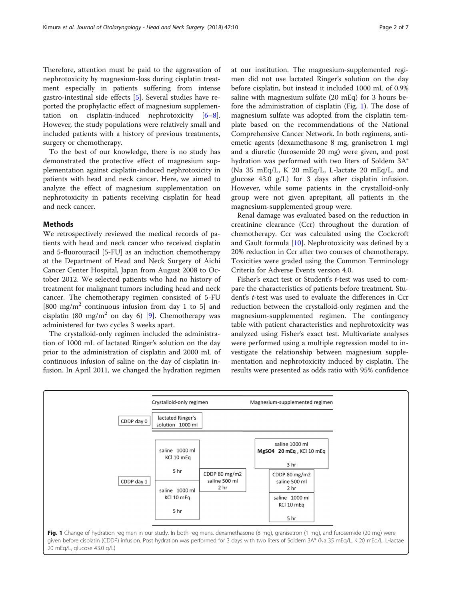Therefore, attention must be paid to the aggravation of nephrotoxicity by magnesium-loss during cisplatin treatment especially in patients suffering from intense gastro-intestinal side effects [[5](#page-6-0)]. Several studies have reported the prophylactic effect of magnesium supplementation on cisplatin-induced nephrotoxicity [\[6](#page-6-0)–[8](#page-6-0)]. However, the study populations were relatively small and included patients with a history of previous treatments, surgery or chemotherapy.

To the best of our knowledge, there is no study has demonstrated the protective effect of magnesium supplementation against cisplatin-induced nephrotoxicity in patients with head and neck cancer. Here, we aimed to analyze the effect of magnesium supplementation on nephrotoxicity in patients receiving cisplatin for head and neck cancer.

## Methods

We retrospectively reviewed the medical records of patients with head and neck cancer who received cisplatin and 5-fluorouracil [5-FU] as an induction chemotherapy at the Department of Head and Neck Surgery of Aichi Cancer Center Hospital, Japan from August 2008 to October 2012. We selected patients who had no history of treatment for malignant tumors including head and neck cancer. The chemotherapy regimen consisted of 5-FU [800 mg/m<sup>2</sup> continuous infusion from day 1 to 5] and cisplatin (80 mg/m<sup>2</sup> on day 6) [[9\]](#page-6-0). Chemotherapy was administered for two cycles 3 weeks apart.

The crystalloid-only regimen included the administration of 1000 mL of lactated Ringer's solution on the day prior to the administration of cisplatin and 2000 mL of continuous infusion of saline on the day of cisplatin infusion. In April 2011, we changed the hydration regimen at our institution. The magnesium-supplemented regimen did not use lactated Ringer's solution on the day before cisplatin, but instead it included 1000 mL of 0.9% saline with magnesium sulfate (20 mEq) for 3 hours before the administration of cisplatin (Fig. 1). The dose of magnesium sulfate was adopted from the cisplatin template based on the recommendations of the National Comprehensive Cancer Network. In both regimens, antiemetic agents (dexamethasone 8 mg, granisetron 1 mg) and a diuretic (furosemide 20 mg) were given, and post hydration was performed with two liters of Soldem 3A® (Na 35 mEq/L, K 20 mEq/L, L-lactate 20 mEq/L, and glucose 43.0 g/L) for 3 days after cisplatin infusion. However, while some patients in the crystalloid-only group were not given aprepitant, all patients in the magnesium-supplemented group were.

Renal damage was evaluated based on the reduction in creatinine clearance (Ccr) throughout the duration of chemotherapy. Ccr was calculated using the Cockcroft and Gault formula [\[10](#page-6-0)]. Nephrotoxicity was defined by a 20% reduction in Ccr after two courses of chemotherapy. Toxicities were graded using the Common Terminology Criteria for Adverse Events version 4.0.

Fisher's exact test or Student's t-test was used to compare the characteristics of patients before treatment. Student's t-test was used to evaluate the differences in Ccr reduction between the crystalloid-only regimen and the magnesium-supplemented regimen. The contingency table with patient characteristics and nephrotoxicity was analyzed using Fisher's exact test. Multivariate analyses were performed using a multiple regression model to investigate the relationship between magnesium supplementation and nephrotoxicity induced by cisplatin. The results were presented as odds ratio with 95% confidence

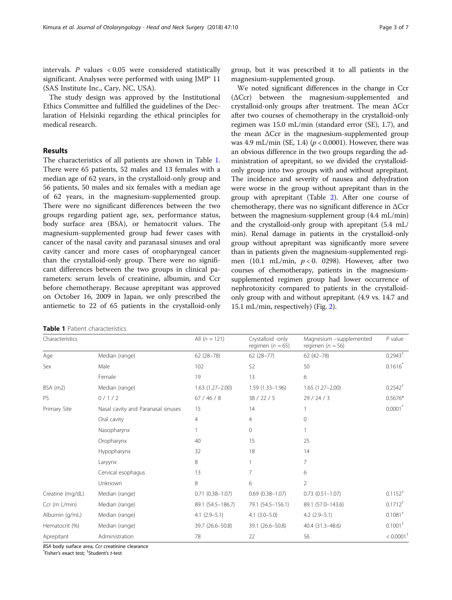intervals. P values < 0.05 were considered statistically significant. Analyses were performed with using JMP® 11 (SAS Institute Inc., Cary, NC, USA).

The study design was approved by the Institutional Ethics Committee and fulfilled the guidelines of the Declaration of Helsinki regarding the ethical principles for medical research.

# Results

The characteristics of all patients are shown in Table 1. There were 65 patients, 52 males and 13 females with a median age of 62 years, in the crystalloid-only group and 56 patients, 50 males and six females with a median age of 62 years, in the magnesium-supplemented group. There were no significant differences between the two groups regarding patient age, sex, performance status, body surface area (BSA), or hematocrit values. The magnesium-supplemented group had fewer cases with cancer of the nasal cavity and paranasal sinuses and oral cavity cancer and more cases of oropharyngeal cancer than the crystalloid-only group. There were no significant differences between the two groups in clinical parameters: serum levels of creatinine, albumin, and Ccr before chemotherapy. Because aprepitant was approved on October 16, 2009 in Japan, we only prescribed the antiemetic to 22 of 65 patients in the crystalloid-only

|  |  | <b>Table 1</b> Patient characteristics |
|--|--|----------------------------------------|
|--|--|----------------------------------------|

group, but it was prescribed it to all patients in the magnesium-supplemented group.

We noted significant differences in the change in Ccr (ΔCcr) between the magnesium-supplemented and crystalloid-only groups after treatment. The mean ΔCcr after two courses of chemotherapy in the crystalloid-only regimen was 15.0 mL/min (standard error (SE), 1.7), and the mean ΔCcr in the magnesium-supplemented group was 4.9 mL/min (SE, 1.4) ( $p < 0.0001$ ). However, there was an obvious difference in the two groups regarding the administration of aprepitant, so we divided the crystalloidonly group into two groups with and without aprepitant. The incidence and severity of nausea and dehydration were worse in the group without aprepitant than in the group with aprepitant (Table [2](#page-3-0)). After one course of chemotherapy, there was no significant difference in ΔCcr between the magnesium-supplement group (4.4 mL/min) and the crystalloid-only group with aprepitant (5.4 mL/ min). Renal damage in patients in the crystalloid-only group without aprepitant was significantly more severe than in patients given the magnesium-supplemented regimen (10.1 mL/min,  $p < 0$ . 0298). However, after two courses of chemotherapy, patients in the magnesiumsupplemented regimen group had lower occurrence of nephrotoxicity compared to patients in the crystalloidonly group with and without aprepitant. (4.9 vs. 14.7 and 15.1 mL/min, respectively) (Fig. [2](#page-3-0)).

| Characteristics  |                                    | All $(n = 121)$     | Crystalloid -only<br>regimen ( $n = 65$ ) | Magnesium -supplemented<br>regimen ( $n = 56$ ) | $P$ value               |  |
|------------------|------------------------------------|---------------------|-------------------------------------------|-------------------------------------------------|-------------------------|--|
| Age              | Median (range)                     | $62(28-78)$         | $62(28-77)$                               | $62(42 - 78)$                                   | $0.2943^+$              |  |
| Sex              | Male                               | 102                 | 52                                        | 50                                              | $0.1616*$               |  |
|                  | Female                             | 19                  | 13                                        | 6                                               |                         |  |
| BSA (m2)         | Median (range)                     | $1.63(1.27 - 2.00)$ | $1.59(1.33 - 1.96)$                       | $1.65(1.27 - 2.00)$                             | $0.2542^+$              |  |
| <b>PS</b>        | 0/1/2                              | 67/46/8             | 38 / 22 / 5                               | 29/24/3                                         | $0.5676*$               |  |
| Primary Site     | Nasal cavity and Paranasal sinuses | 15                  | 14                                        |                                                 | 0.0001                  |  |
|                  | Oral cavity                        | $\overline{4}$      | $\overline{4}$                            | $\Omega$                                        |                         |  |
|                  | Nasopharynx                        |                     | $\overline{0}$                            |                                                 |                         |  |
|                  | Oropharynx                         | 40                  | 15                                        | 25                                              |                         |  |
|                  | Hypopharynx                        | 32                  | 18                                        | 14                                              |                         |  |
|                  | Laryynx                            | 8                   | $\mathbf{1}$                              | 7                                               |                         |  |
|                  | Cervical esophagus                 | 13                  | 7                                         | 6                                               |                         |  |
|                  | Unknown                            | 8                   | 6                                         | $\overline{2}$                                  |                         |  |
| Creatine (mg/dL) | Median (range)                     | $0.71(0.38 - 1.07)$ | $0.69(0.38 - 1.07)$                       | $0.73(0.51 - 1.07)$                             | $0.1152^{+}$            |  |
| Ccr (m L/min)    | Median (range)                     | 89.1 (54.5-186.7)   | 79.1 (54.5-156.1)                         | 89.1 (57.0-143.6)                               | $0.1712^{+}$            |  |
| Albumin (g/mL)   | Median (range)                     | $4.1(2.9-5.1)$      | $4.1$ $(3.0 - 5.0)$                       | $4.2$ (2.9-5.1)                                 | $0.1081^+$              |  |
| Hematocrit (%)   | Median (range)                     | 39.7 (26.6-50.8)    | 39.1 (26.6-50.8)                          | 40.4 (31.3-48.6)                                | $0.1001+$               |  |
| Aprepitant       | Administration                     | 78                  | 22                                        | 56                                              | $< 0.0001$ <sup>T</sup> |  |

BSA body surface area, Ccr creatinine clearance

Fisher's exact test; † Student's t-test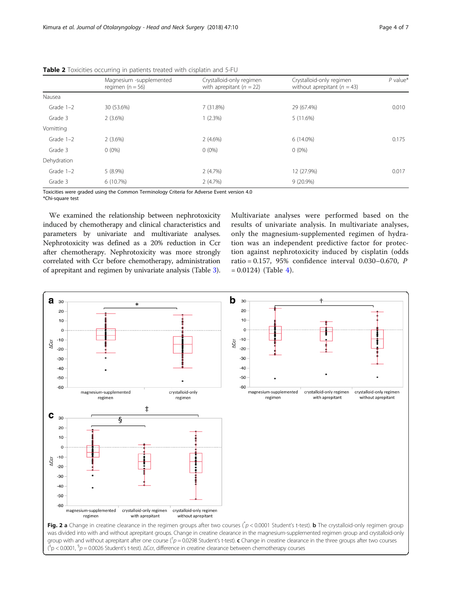|             | Magnesium -supplemented<br>regimen ( $n = 56$ ) | Crystalloid-only regimen<br>with aprepitant $(n = 22)$ | Crystalloid-only regimen<br>without aprepitant ( $n = 43$ ) | $P$ value* |
|-------------|-------------------------------------------------|--------------------------------------------------------|-------------------------------------------------------------|------------|
| Nausea      |                                                 |                                                        |                                                             |            |
| Grade 1-2   | 30 (53.6%)                                      | 7 (31.8%)                                              | 29 (67.4%)                                                  | 0.010      |
| Grade 3     | 2(3.6%)                                         | $1(2.3\%)$                                             | 5(11.6%)                                                    |            |
| Vomitting   |                                                 |                                                        |                                                             |            |
| Grade 1-2   | $2(3.6\%)$                                      | 2(4.6%)                                                | $6(14.0\%)$                                                 | 0.175      |
| Grade 3     | $0(0\%)$                                        | $0(0\%)$                                               | $0(0\%)$                                                    |            |
| Dehydration |                                                 |                                                        |                                                             |            |
| Grade 1-2   | $5(8.9\%)$                                      | 2(4.7%)                                                | 12 (27.9%)                                                  | 0.017      |
| Grade 3     | 6(10.7%)                                        | 2(4.7%)                                                | $9(20.9\%)$                                                 |            |

<span id="page-3-0"></span>Table 2 Toxicities occurring in patients treated with cisplatin and 5-FU

Toxicities were graded using the Common Terminology Criteria for Adverse Event version 4.0 \*Chi-square test

We examined the relationship between nephrotoxicity induced by chemotherapy and clinical characteristics and parameters by univariate and multivariate analyses. Nephrotoxicity was defined as a 20% reduction in Ccr after chemotherapy. Nephrotoxicity was more strongly correlated with Ccr before chemotherapy, administration of aprepitant and regimen by univariate analysis (Table [3](#page-4-0)). Multivariate analyses were performed based on the results of univariate analysis. In multivariate analyses, only the magnesium-supplemented regimen of hydration was an independent predictive factor for protection against nephrotoxicity induced by cisplatin (odds ratio = 0.157, 95% confidence interval 0.030-0.670,  $P$  $= 0.0124$ ) (Table [4\)](#page-4-0).

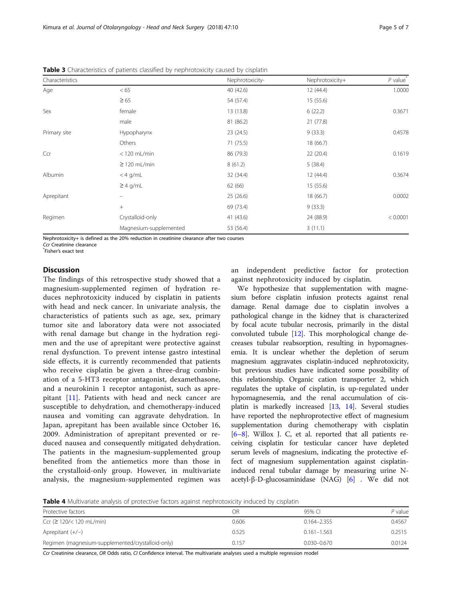| Characteristics |                        | Nephrotoxicity- | Nephrotoxicity+ | $P$ value <sup>*</sup> |
|-----------------|------------------------|-----------------|-----------------|------------------------|
| Age             | < 65                   | 40 (42.6)       | 12(44.4)        | 1.0000                 |
|                 | $\geq 65$              | 54 (57.4)       | 15(55.6)        |                        |
| Sex             | female                 | 13 (13.8)       | 6(22.2)         | 0.3671                 |
|                 | male                   | 81 (86.2)       | 21(77.8)        |                        |
| Primary site    | Hypopharynx            | 23(24.5)        | 9(33.3)         | 0.4578                 |
|                 | Others                 | 71(75.5)        | 18(66.7)        |                        |
| Ccr             | $<$ 120 mL/min         | 86 (79.3)       | 22(20.4)        | 0.1619                 |
|                 | $\geq$ 120 mL/min      | 8(61.2)         | 5(38.4)         |                        |
| Albumin         | $<$ 4 g/mL             | 32 (34.4)       | 12(44.4)        | 0.3674                 |
|                 | $\geq 4$ g/mL          | 62 (66)         | 15(55.6)        |                        |
| Aprepitant      |                        | 25(26.6)        | 18 (66.7)       | 0.0002                 |
|                 | $^{+}$                 | 69 (73.4)       | 9(33.3)         |                        |
| Regimen         | Crystalloid-only       | 41 (43.6)       | 24 (88.9)       | < 0.0001               |
|                 | Magnesium-supplemented | 53 (56.4)       | 3(11.1)         |                        |

<span id="page-4-0"></span>Table 3 Characteristics of patients classified by nephrotoxicity caused by cisplatin

Nephrotoxicity+ is defined as the 20% reduction in creatinine clearance after two courses Ccr Creatinine clearance

 $\check{}$ Ficher's exact test

## **Discussion**

The findings of this retrospective study showed that a magnesium-supplemented regimen of hydration reduces nephrotoxicity induced by cisplatin in patients with head and neck cancer. In univariate analysis, the characteristics of patients such as age, sex, primary tumor site and laboratory data were not associated with renal damage but change in the hydration regimen and the use of aprepitant were protective against renal dysfunction. To prevent intense gastro intestinal side effects, it is currently recommended that patients who receive cisplatin be given a three-drug combination of a 5-HT3 receptor antagonist, dexamethasone, and a neurokinin 1 receptor antagonist, such as aprepitant [[11](#page-6-0)]. Patients with head and neck cancer are susceptible to dehydration, and chemotherapy-induced nausea and vomiting can aggravate dehydration. In Japan, aprepitant has been available since October 16, 2009. Administration of aprepitant prevented or reduced nausea and consequently mitigated dehydration. The patients in the magnesium-supplemented group benefited from the antiemetics more than those in the crystalloid-only group. However, in multivariate analysis, the magnesium-supplemented regimen was

an independent predictive factor for protection against nephrotoxicity induced by cisplatin.

We hypothesize that supplementation with magnesium before cisplatin infusion protects against renal damage. Renal damage due to cisplatin involves a pathological change in the kidney that is characterized by focal acute tubular necrosis, primarily in the distal convoluted tubule [\[12](#page-6-0)]. This morphological change decreases tubular reabsorption, resulting in hypomagnesemia. It is unclear whether the depletion of serum magnesium aggravates cisplatin-induced nephrotoxicity, but previous studies have indicated some possibility of this relationship. Organic cation transporter 2, which regulates the uptake of cisplatin, is up-regulated under hypomagnesemia, and the renal accumulation of cisplatin is markedly increased [[13](#page-6-0), [14\]](#page-6-0). Several studies have reported the nephroprotective effect of magnesium supplementation during chemotherapy with cisplatin [[6](#page-6-0)–[8](#page-6-0)]. Willox J. C, et al. reported that all patients receiving cisplatin for testicular cancer have depleted serum levels of magnesium, indicating the protective effect of magnesium supplementation against cisplatininduced renal tubular damage by measuring urine Nacetyl-β-D-glucosaminidase (NAG) [\[6](#page-6-0)] . We did not

**Table 4** Multivariate analysis of protective factors against nephrotoxicity induced by cisplatin

| Protective factors                                | ΟR    | 95% CI          | P value |
|---------------------------------------------------|-------|-----------------|---------|
| $Ccr$ ( $\geq$ 120/< 120 mL/min)                  | 0.606 | $0.164 - 2.355$ | 0.4567  |
| Aprepitant $(+/-)$                                | 0.525 | $0.161 - 1.563$ | 0.2515  |
| Regimen (magnesium-supplemented/crystalloid-only) | 0.157 | 0.030-0.670     | 0.0124  |

Ccr Creatinine clearance, OR Odds ratio, CI Confidence interval. The multivariate analyses used a multiple regression model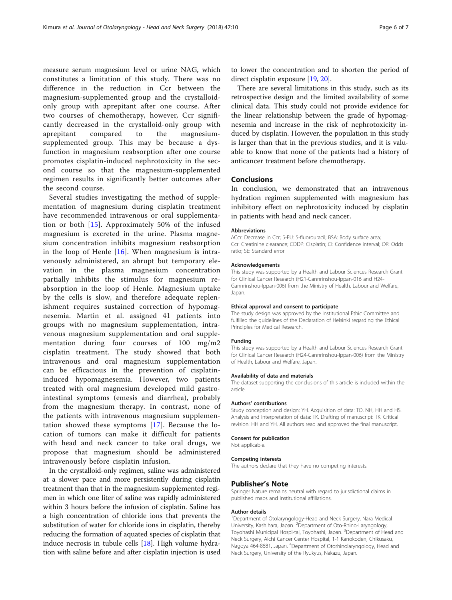measure serum magnesium level or urine NAG, which constitutes a limitation of this study. There was no difference in the reduction in Ccr between the magnesium-supplemented group and the crystalloidonly group with aprepitant after one course. After two courses of chemotherapy, however, Ccr significantly decreased in the crystalloid-only group with aprepitant compared to the magnesiumsupplemented group. This may be because a dysfunction in magnesium reabsorption after one course promotes cisplatin-induced nephrotoxicity in the second course so that the magnesium-supplemented regimen results in significantly better outcomes after the second course.

Several studies investigating the method of supplementation of magnesium during cisplatin treatment have recommended intravenous or oral supplementation or both [\[15](#page-6-0)]. Approximately 50% of the infused magnesium is excreted in the urine. Plasma magnesium concentration inhibits magnesium reabsorption in the loop of Henle [[16](#page-6-0)]. When magnesium is intravenously administered, an abrupt but temporary elevation in the plasma magnesium concentration partially inhibits the stimulus for magnesium reabsorption in the loop of Henle. Magnesium uptake by the cells is slow, and therefore adequate replenishment requires sustained correction of hypomagnesemia. Martin et al. assigned 41 patients into groups with no magnesium supplementation, intravenous magnesium supplementation and oral supplementation during four courses of 100 mg/m2 cisplatin treatment. The study showed that both intravenous and oral magnesium supplementation can be efficacious in the prevention of cisplatininduced hypomagnesemia. However, two patients treated with oral magnesium developed mild gastrointestinal symptoms (emesis and diarrhea), probably from the magnesium therapy. In contrast, none of the patients with intravenous magnesium supplementation showed these symptoms [\[17](#page-6-0)]. Because the location of tumors can make it difficult for patients with head and neck cancer to take oral drugs, we propose that magnesium should be administered intravenously before cisplatin infusion.

In the crystalloid-only regimen, saline was administered at a slower pace and more persistently during cisplatin treatment than that in the magnesium-supplemented regimen in which one liter of saline was rapidly administered within 3 hours before the infusion of cisplatin. Saline has a high concentration of chloride ions that prevents the substitution of water for chloride ions in cisplatin, thereby reducing the formation of aquated species of cisplatin that induce necrosis in tubule cells [[18](#page-6-0)]. High volume hydration with saline before and after cisplatin injection is used

to lower the concentration and to shorten the period of direct cisplatin exposure [[19,](#page-6-0) [20\]](#page-6-0).

There are several limitations in this study, such as its retrospective design and the limited availability of some clinical data. This study could not provide evidence for the linear relationship between the grade of hypomagnesemia and increase in the risk of nephrotoxicity induced by cisplatin. However, the population in this study is larger than that in the previous studies, and it is valuable to know that none of the patients had a history of anticancer treatment before chemotherapy.

## Conclusions

In conclusion, we demonstrated that an intravenous hydration regimen supplemented with magnesium has inhibitory effect on nephrotoxicity induced by cisplatin in patients with head and neck cancer.

#### Abbreviations

ΔCcr: Decrease in Ccr; 5-FU: 5-fluorouracil; BSA: Body surface area; Ccr: Creatinine clearance; CDDP: Cisplatin; CI: Confidence interval; OR: Odds ratio; SE: Standard error

#### Acknowledgements

This study was supported by a Health and Labour Sciences Research Grant for Clinical Cancer Research (H21-Gannrinshou-Ippan-016 and H24- Gannrinshou-Ippan-006) from the Ministry of Health, Labour and Welfare, Japan.

#### Ethical approval and consent to participate

The study design was approved by the Institutional Ethic Committee and fulfilled the guidelines of the Declaration of Helsinki regarding the Ethical Principles for Medical Research.

#### Funding

This study was supported by a Health and Labour Sciences Research Grant for Clinical Cancer Research (H24-Gannrinshou-Ippan-006) from the Ministry of Health, Labour and Welfare, Japan.

## Availability of data and materials

The dataset supporting the conclusions of this article is included within the article.

#### Authors' contributions

Study conception and design: YH. Acquisition of data: TO, NH, HH and HS. Analysis and interpretation of data: TK. Drafting of manuscript: TK. Critical revision: HH and YH. All authors read and approved the final manuscript.

#### Consent for publication

Not applicable.

#### Competing interests

The authors declare that they have no competing interests.

#### Publisher's Note

Springer Nature remains neutral with regard to jurisdictional claims in published maps and institutional affiliations.

#### Author details

<sup>1</sup>Department of Otolaryngology-Head and Neck Surgery, Nara Medical University, Kashihara, Japan. <sup>2</sup>Department of Oto-Rhino-Laryngology Toyohashi Municipal Hospi-tal, Toyohashi, Japan. <sup>3</sup>Department of Head and Neck Surgery, Aichi Cancer Center Hospital, 1-1 Kanokoden, Chikusaku, Nagoya 464-8681, Japan. <sup>4</sup>Department of Otorhinolaryngology, Head and Neck Surgery, University of the Ryukyus, Nakazu, Japan.